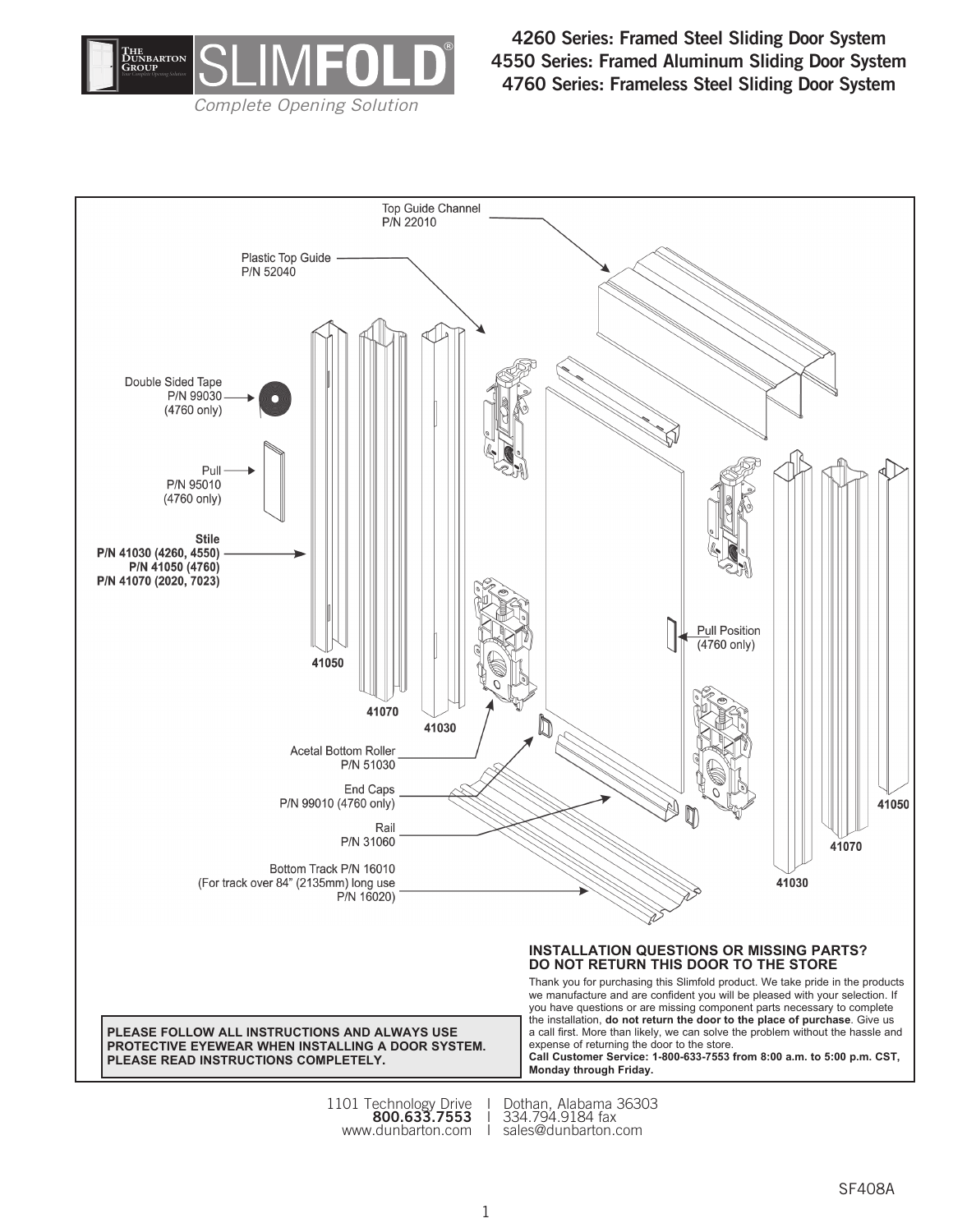

**4260 Series: Framed Steel Sliding Door System 4550 Series: Framed Aluminum Sliding Door System 4760 Series: Frameless Steel Sliding Door System**



www.dunbarton.com I sales@dunbarton.com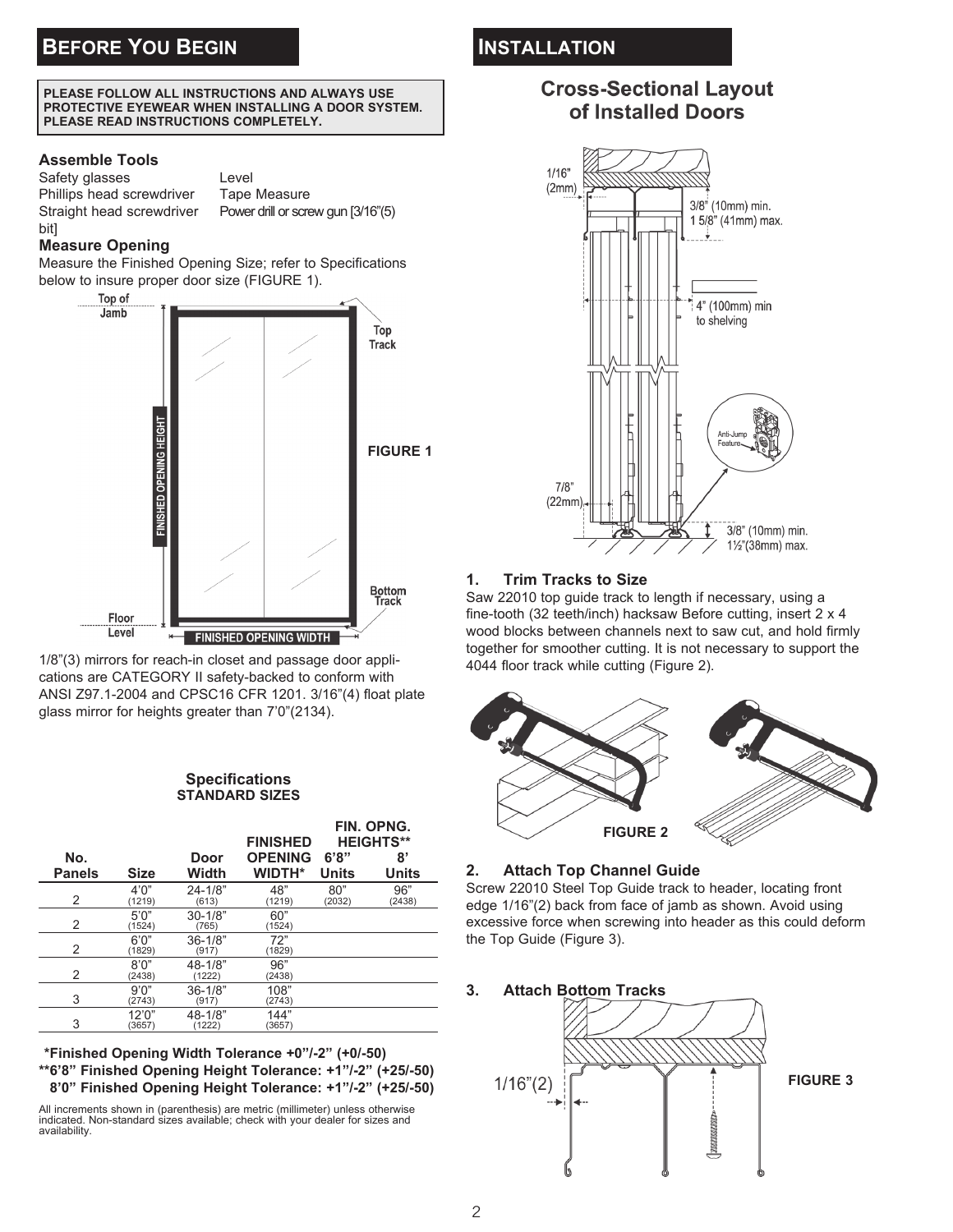#### **PLEASE FOLLOW ALL INSTRUCTIONS AND ALWAYS USE PROTECTIVE EYEWEAR WHEN INSTALLING A DOOR SYSTEM. PLEASE READ INSTRUCTIONS COMPLETELY.**

## **Assemble Tools**

Safety glasses Level Phillips head screwdriver Tape Measure Straight head screwdriver Power drill or screw gun [3/16"(5) bit]

## **Measure Opening**

Measure the Finished Opening Size; refer to Specifications below to insure proper door size (FIGURE 1).



1/8"(3) mirrors for reach-in closet and passage door applications are CATEGORY II safety-backed to conform with ANSI Z97.1-2004 and CPSC16 CFR 1201. 3/16"(4) float plate glass mirror for heights greater than 7'0"(2134).

#### **Specifications STANDARD SIZES**

|               |                  |                       | <b>FINISHED</b> | FIN. OPNG.<br><b>HEIGHTS**</b> |               |
|---------------|------------------|-----------------------|-----------------|--------------------------------|---------------|
| No.           |                  | Door                  | <b>OPENING</b>  | 6'8"                           | 8'            |
| <b>Panels</b> | <b>Size</b>      | Width                 | <b>WIDTH*</b>   | Units                          | Units         |
| 2             | 4'0''<br>(1219)  | $24 - 1/8"$<br>(613)  | 48"<br>(1219)   | 80"<br>(2032)                  | 96"<br>(2438) |
| 2             | 5'0''<br>(1524)  | $30 - 1/8"$<br>(765)  | 60"<br>(1524)   |                                |               |
| 2             | 6'0''<br>(1829)  | $36 - 1/8"$<br>(917)  | 72"<br>(1829)   |                                |               |
| 2             | 8'0''<br>(2438)  | $48 - 1/8"$<br>(1222) | 96"<br>(2438)   |                                |               |
| 3             | 9'0''<br>(2743)  | $36 - 1/8"$<br>(917)  | 108"<br>(2743)  |                                |               |
| 3             | 12'0''<br>(3657) | $48 - 1/8"$<br>(1222) | 144"<br>(3657)  |                                |               |

**\*\*Finished Opening Width Tolerance +0"/-2" (+0/-50) \*\*6'8" Finished Opening Height Tolerance: +1"/-2" (+25/-50) \*\*8'0" Finished Opening Height Tolerance: +1"/-2" (+25/-50)**

All increments shown in (parenthesis) are metric (millimeter) unless otherwise indicated. Non-standard sizes available; check with your dealer for sizes and availability.

# **Cross-Sectional Layout** of Installed Doors



## **1. Trim Tracks to Size**

Saw 22010 top guide track to length if necessary, using a fine-tooth (32 teeth/inch) hacksaw Before cutting, insert 2 x 4 wood blocks between channels next to saw cut, and hold firmly together for smoother cutting. It is not necessary to support the 4044 floor track while cutting (Figure 2).



### **2. Attach Top Channel Guide**

Screw 22010 Steel Top Guide track to header, locating front edge 1/16"(2) back from face of jamb as shown. Avoid using excessive force when screwing into header as this could deform the Top Guide (Figure 3).

**3. Attach Bottom Tracks**

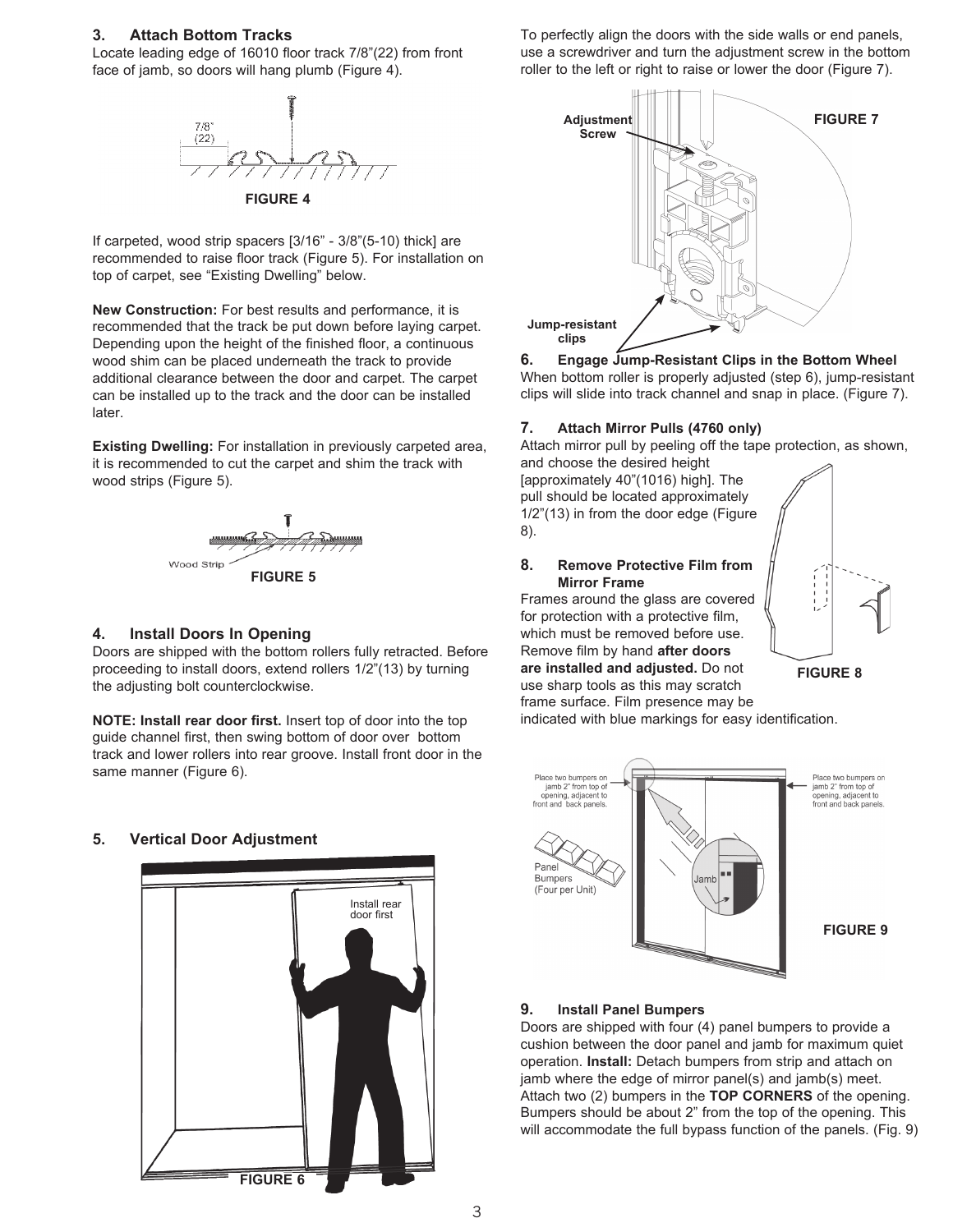#### **3. Attach Bottom Tracks**

Locate leading edge of 16010 floor track 7/8"(22) from front face of jamb, so doors will hang plumb (Figure 4).



If carpeted, wood strip spacers [3/16" - 3/8"(5-10) thick] are recommended to raise floor track (Figure 5). For installation on top of carpet, see "Existing Dwelling" below.

**New Construction:** For best results and performance, it is recommended that the track be put down before laying carpet. Depending upon the height of the finished floor, a continuous wood shim can be placed underneath the track to provide additional clearance between the door and carpet. The carpet can be installed up to the track and the door can be installed later.

**Existing Dwelling:** For installation in previously carpeted area, it is recommended to cut the carpet and shim the track with wood strips (Figure 5).



#### **4. Install Doors In Opening**

Doors are shipped with the bottom rollers fully retracted. Before proceeding to install doors, extend rollers 1/2"(13) by turning the adjusting bolt counterclockwise.

**NOTE: Install rear door first.** Insert top of door into the top guide channel first, then swing bottom of door over bottom track and lower rollers into rear groove. Install front door in the same manner (Figure 6).

### **5. Vertical Door Adjustment**



To perfectly align the doors with the side walls or end panels, use a screwdriver and turn the adjustment screw in the bottom roller to the left or right to raise or lower the door (Figure 7).



**6. Engage Jump-Resistant Clips in the Bottom Wheel** When bottom roller is properly adjusted (step 6), jump-resistant clips will slide into track channel and snap in place. (Figure 7).

#### **7. Attach Mirror Pulls (4760 only)**

Attach mirror pull by peeling off the tape protection, as shown, and choose the desired height

[approximately 40"(1016) high]. The pull should be located approximately 1/2"(13) in from the door edge (Figure 8).

**8. Remove Protective Film from**

Frames around the glass are covered for protection with a protective film, which must be removed before use. Remove film by hand **after doors are installed and adjusted.** Do not use sharp tools as this may scratch

**Mirror Frame**



**FIGURE 8**

frame surface. Film presence may be indicated with blue markings for easy identification.



#### **9. Install Panel Bumpers**

Doors are shipped with four (4) panel bumpers to provide a cushion between the door panel and jamb for maximum quiet operation. **Install:** Detach bumpers from strip and attach on jamb where the edge of mirror panel(s) and jamb(s) meet. Attach two (2) bumpers in the **TOP CORNERS** of the opening. Bumpers should be about 2" from the top of the opening. This will accommodate the full bypass function of the panels. (Fig. 9)